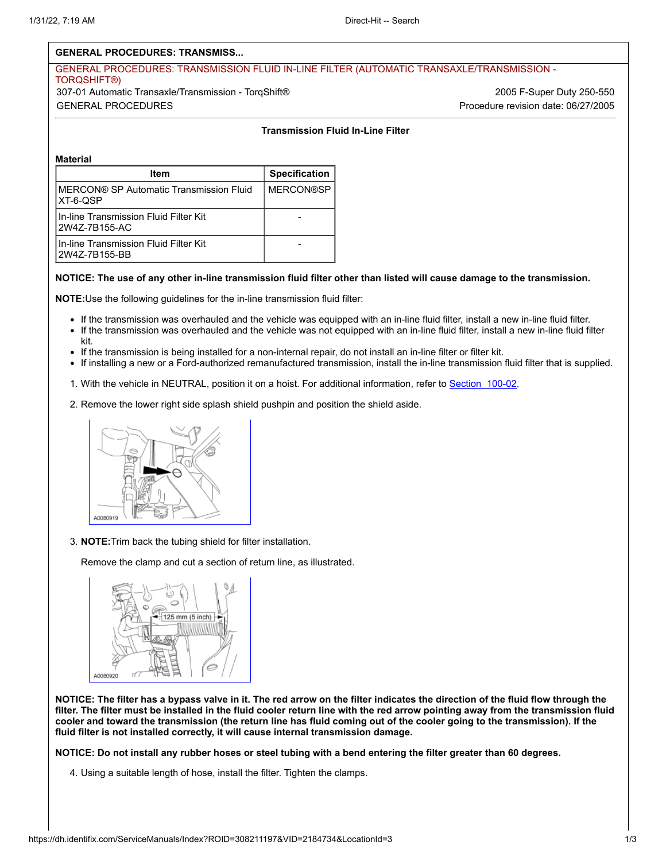# **GENERAL PROCEDURES: TRANSMISS...**

## GENERAL PROCEDURES: TRANSMISSION FLUID IN-LINE FILTER (AUTOMATIC TRANSAXLE/TRANSMISSION - TORQSHIFT®) 307-01 Automatic Transaxle/Transmission - TorqShift® 2005 F-Super Duty 250-550 GENERAL PROCEDURES Procedure revision date: 06/27/2005

### **Transmission Fluid In-Line Filter**

#### **Material**

| Item                                                     | <b>Specification</b> |
|----------------------------------------------------------|----------------------|
| IMERCON® SP Automatic Transmission Fluid<br>IXT-6-QSP    | <b>MERCON®SP</b>     |
| l In-line Transmission Fluid Filter Kit<br>2W4Z-7B155-AC |                      |
| In-line Transmission Fluid Filter Kit<br>2W4Z-7B155-BB   |                      |

#### **NOTICE: The use of any other in-line transmission fluid filter other than listed will cause damage to the transmission.**

**NOTE:**Use the following guidelines for the in-line transmission fluid filter:

- If the transmission was overhauled and the vehicle was equipped with an in-line fluid filter, install a new in-line fluid filter.
- If the transmission was overhauled and the vehicle was not equipped with an in-line fluid filter, install a new in-line fluid filter kit.
- If the transmission is being installed for a non-internal repair, do not install an in-line filter or filter kit.
- If installing a new or a Ford-authorized remanufactured transmission, install the in-line transmission fluid filter that is supplied.
- 1. With the vehicle in NEUTRAL, position it on a hoist. For additional information, refer to Section 100-02.
- 2. Remove the lower right side splash shield pushpin and position the shield aside.



3. **NOTE:**Trim back the tubing shield for filter installation.

Remove the clamp and cut a section of return line, as illustrated.



**NOTICE: The filter has a bypass valve in it. The red arrow on the filter indicates the direction of the fluid flow through the filter. The filter must be installed in the fluid cooler return line with the red arrow pointing away from the transmission fluid cooler and toward the transmission (the return line has fluid coming out of the cooler going to the transmission). If the fluid filter is not installed correctly, it will cause internal transmission damage.**

**NOTICE: Do not install any rubber hoses or steel tubing with a bend entering the filter greater than 60 degrees.**

4. Using a suitable length of hose, install the filter. Tighten the clamps.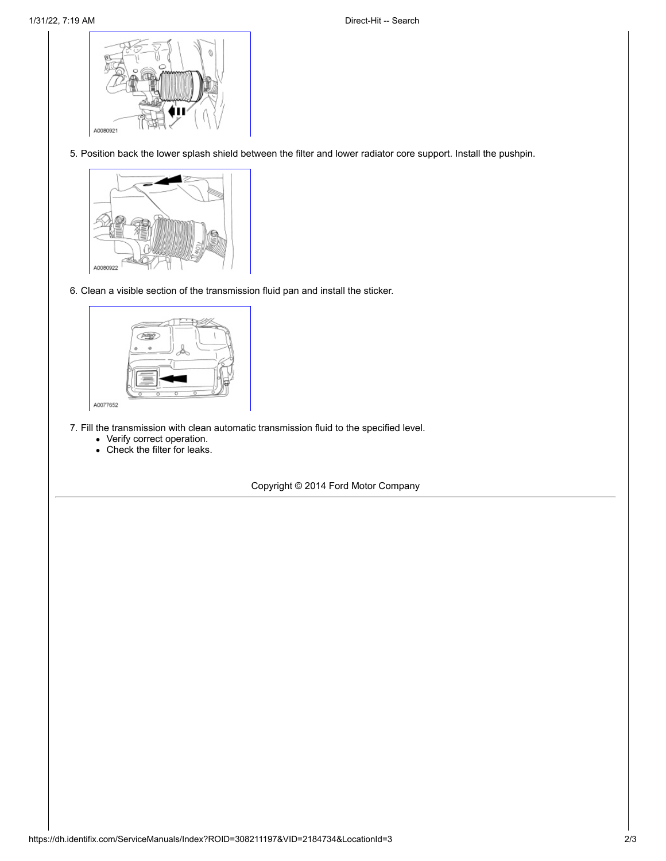

5. Position back the lower splash shield between the filter and lower radiator core support. Install the pushpin.



6. Clean a visible section of the transmission fluid pan and install the sticker.



- 7. Fill the transmission with clean automatic transmission fluid to the specified level.
	- Verify correct operation.
	- Check the filter for leaks.

Copyright © 2014 Ford Motor Company